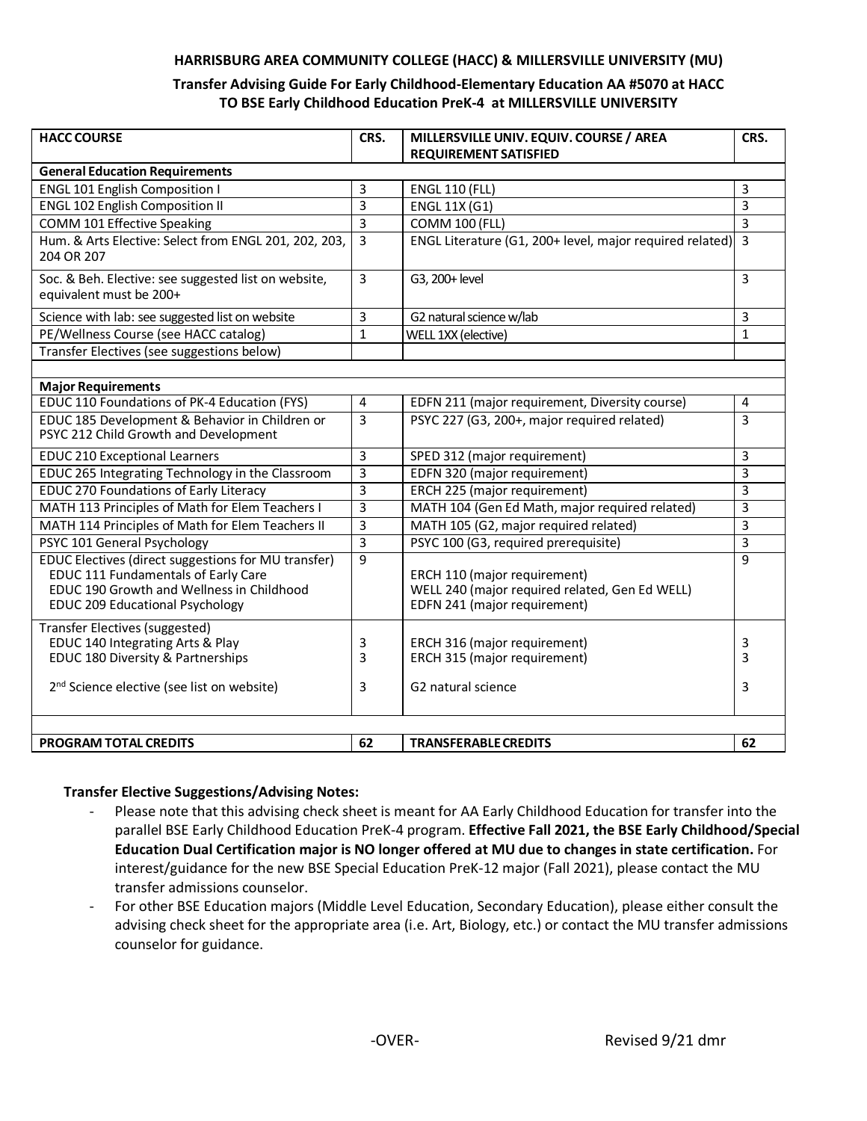#### **HARRISBURG AREA COMMUNITY COLLEGE (HACC) & MILLERSVILLE UNIVERSITY (MU)**

### **Transfer Advising Guide For Early Childhood-Elementary Education AA #5070 at HACC TO BSE Early Childhood Education PreK-4 at MILLERSVILLE UNIVERSITY**

| <b>HACC COURSE</b>                                                                                                                                                         | CRS.           | MILLERSVILLE UNIV. EQUIV. COURSE / AREA                                                                        | CRS.           |
|----------------------------------------------------------------------------------------------------------------------------------------------------------------------------|----------------|----------------------------------------------------------------------------------------------------------------|----------------|
| <b>REQUIREMENT SATISFIED</b><br><b>General Education Requirements</b>                                                                                                      |                |                                                                                                                |                |
| <b>ENGL 101 English Composition I</b>                                                                                                                                      | 3              | <b>ENGL 110 (FLL)</b>                                                                                          | 3              |
| <b>ENGL 102 English Composition II</b>                                                                                                                                     | 3              | <b>ENGL 11X (G1)</b>                                                                                           | 3              |
| COMM 101 Effective Speaking                                                                                                                                                | 3              | <b>COMM 100 (FLL)</b>                                                                                          | 3              |
| Hum. & Arts Elective: Select from ENGL 201, 202, 203,<br>204 OR 207                                                                                                        | 3              | ENGL Literature (G1, 200+ level, major required related)                                                       | $\overline{3}$ |
| Soc. & Beh. Elective: see suggested list on website,<br>equivalent must be 200+                                                                                            | $\overline{3}$ | G3, 200+ level                                                                                                 | 3              |
| Science with lab: see suggested list on website                                                                                                                            | 3              | G2 natural science w/lab                                                                                       | 3              |
| PE/Wellness Course (see HACC catalog)                                                                                                                                      | $\mathbf{1}$   | WELL 1XX (elective)                                                                                            | $\mathbf{1}$   |
| Transfer Electives (see suggestions below)                                                                                                                                 |                |                                                                                                                |                |
|                                                                                                                                                                            |                |                                                                                                                |                |
| <b>Major Requirements</b>                                                                                                                                                  |                |                                                                                                                |                |
| EDUC 110 Foundations of PK-4 Education (FYS)                                                                                                                               | $\overline{4}$ | EDFN 211 (major requirement, Diversity course)                                                                 | 4              |
| EDUC 185 Development & Behavior in Children or<br>PSYC 212 Child Growth and Development                                                                                    | 3              | PSYC 227 (G3, 200+, major required related)                                                                    | 3              |
| <b>EDUC 210 Exceptional Learners</b>                                                                                                                                       | 3              | SPED 312 (major requirement)                                                                                   | 3              |
| EDUC 265 Integrating Technology in the Classroom                                                                                                                           | $\overline{3}$ | EDFN 320 (major requirement)                                                                                   | 3              |
| <b>EDUC 270 Foundations of Early Literacy</b>                                                                                                                              | 3              | ERCH 225 (major requirement)                                                                                   | 3              |
| MATH 113 Principles of Math for Elem Teachers I                                                                                                                            | 3              | MATH 104 (Gen Ed Math, major required related)                                                                 | 3              |
| MATH 114 Principles of Math for Elem Teachers II                                                                                                                           | 3              | MATH 105 (G2, major required related)                                                                          | 3              |
| PSYC 101 General Psychology                                                                                                                                                | 3              | PSYC 100 (G3, required prerequisite)                                                                           | 3              |
| EDUC Electives (direct suggestions for MU transfer)<br>EDUC 111 Fundamentals of Early Care<br>EDUC 190 Growth and Wellness in Childhood<br>EDUC 209 Educational Psychology | 9              | ERCH 110 (major requirement)<br>WELL 240 (major required related, Gen Ed WELL)<br>EDFN 241 (major requirement) | 9              |
| <b>Transfer Electives (suggested)</b><br>EDUC 140 Integrating Arts & Play<br>EDUC 180 Diversity & Partnerships<br>2 <sup>nd</sup> Science elective (see list on website)   | 3<br>3         | ERCH 316 (major requirement)<br>ERCH 315 (major requirement)                                                   | 3<br>3         |
|                                                                                                                                                                            | 3              | G2 natural science                                                                                             | 3              |
| <b>PROGRAM TOTAL CREDITS</b>                                                                                                                                               | 62             | <b>TRANSFERABLE CREDITS</b>                                                                                    | 62             |

#### **Transfer Elective Suggestions/Advising Notes:**

- Please note that this advising check sheet is meant for AA Early Childhood Education for transfer into the parallel BSE Early Childhood Education PreK-4 program. **Effective Fall 2021, the BSE Early Childhood/Special Education Dual Certification major is NO longer offered at MU due to changes in state certification.** For interest/guidance for the new BSE Special Education PreK-12 major (Fall 2021), please contact the MU transfer admissions counselor.
- For other BSE Education majors (Middle Level Education, Secondary Education), please either consult the advising check sheet for the appropriate area (i.e. Art, Biology, etc.) or contact the MU transfer admissions counselor for guidance.